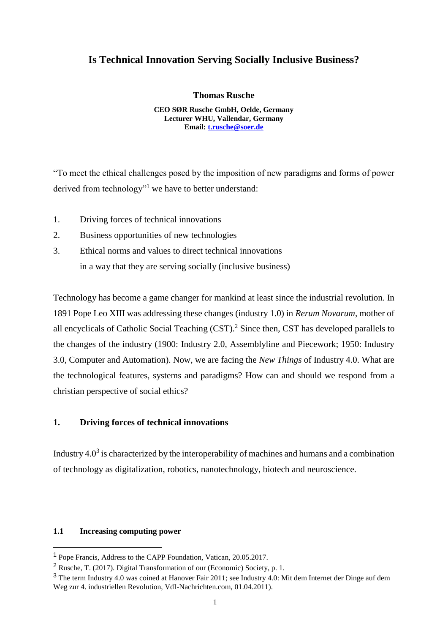# **Is Technical Innovation Serving Socially Inclusive Business?**

# **Thomas Rusche**

**CEO SØR Rusche GmbH, Oelde, Germany Lecturer WHU, Vallendar, Germany Email: [t.rusche@soer.de](mailto:t.rusche@soer.de)**

"To meet the ethical challenges posed by the imposition of new paradigms and forms of power derived from technology"<sup>1</sup> we have to better understand:

- 1. Driving forces of technical innovations
- 2. Business opportunities of new technologies
- 3. Ethical norms and values to direct technical innovations in a way that they are serving socially (inclusive business)

Technology has become a game changer for mankind at least since the industrial revolution. In 1891 Pope Leo XIII was addressing these changes (industry 1.0) in *Rerum Novarum*, mother of all encyclicals of Catholic Social Teaching (CST).<sup>2</sup> Since then, CST has developed parallels to the changes of the industry (1900: Industry 2.0, Assemblyline and Piecework; 1950: Industry 3.0, Computer and Automation). Now, we are facing the *New Things* of Industry 4.0. What are the technological features, systems and paradigms? How can and should we respond from a christian perspective of social ethics?

# **1. Driving forces of technical innovations**

Industry  $4.0<sup>3</sup>$  is characterized by the interoperability of machines and humans and a combination of technology as digitalization, robotics, nanotechnology, biotech and neuroscience.

# **1.1 Increasing computing power**

<sup>1</sup> Pope Francis, Address to the CAPP Foundation, Vatican, 20.05.2017.

<sup>2</sup> Rusche, T. (2017). Digital Transformation of our (Economic) Society, p. 1.

<sup>3</sup> The term Industry 4.0 was coined at Hanover Fair 2011; see Industry 4.0: Mit dem Internet der Dinge auf dem Weg zur 4. industriellen Revolution, VdI-Nachrichten.com, 01.04.2011).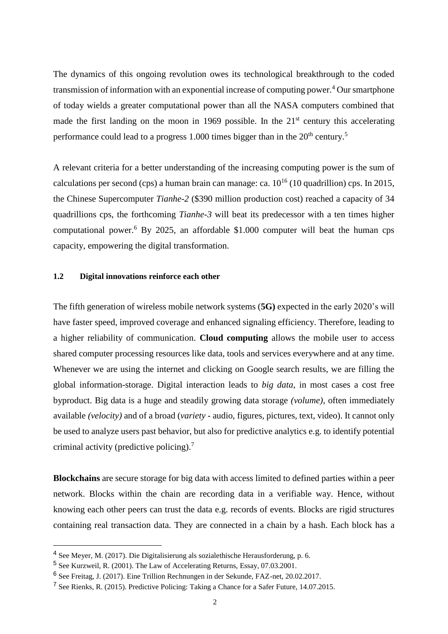The dynamics of this ongoing revolution owes its technological breakthrough to the coded transmission of information with an exponential increase of computing power.<sup>4</sup> Our smartphone of today wields a greater computational power than all the NASA computers combined that made the first landing on the moon in 1969 possible. In the  $21<sup>st</sup>$  century this accelerating performance could lead to a progress 1.000 times bigger than in the  $20<sup>th</sup>$  century.<sup>5</sup>

A relevant criteria for a better understanding of the increasing computing power is the sum of calculations per second (cps) a human brain can manage: ca.  $10^{16}$  (10 quadrillion) cps. In 2015, the Chinese Supercomputer *Tianhe-2* (\$390 million production cost) reached a capacity of 34 quadrillions cps, the forthcoming *Tianhe-3* will beat its predecessor with a ten times higher computational power.<sup>6</sup> By 2025, an affordable \$1,000 computer will beat the human cps capacity, empowering the digital transformation.

#### **1.2 Digital innovations reinforce each other**

The fifth generation of wireless mobile network systems (**5G)** expected in the early 2020's will have faster speed, improved coverage and enhanced signaling efficiency. Therefore, leading to a higher reliability of communication. **Cloud computing** allows the mobile user to access shared computer processing resources like data, tools and services everywhere and at any time. Whenever we are using the internet and clicking on Google search results, we are filling the global information-storage. Digital interaction leads to *big data*, in most cases a cost free byproduct. Big data is a huge and steadily growing data storage *(volume)*, often immediately available *(velocity)* and of a broad (*variety* - audio, figures, pictures, text, video). It cannot only be used to analyze users past behavior, but also for predictive analytics e.g. to identify potential criminal activity (predictive policing).<sup>7</sup>

**Blockchains** are secure storage for big data with access limited to defined parties within a peer network. Blocks within the chain are recording data in a verifiable way. Hence, without knowing each other peers can trust the data e.g. records of events. Blocks are rigid structures containing real transaction data. They are connected in a chain by a hash. Each block has a

<sup>4</sup> See Meyer, M. (2017). Die Digitalisierung als sozialethische Herausforderung, p. 6.

<sup>5</sup> See Kurzweil, R. (2001). The Law of Accelerating Returns, Essay, 07.03.2001.

<sup>6</sup> See Freitag, J. (2017). Eine Trillion Rechnungen in der Sekunde, FAZ-net, 20.02.2017.

<sup>7</sup> See Rienks, R. (2015). Predictive Policing: Taking a Chance for a Safer Future, 14.07.2015.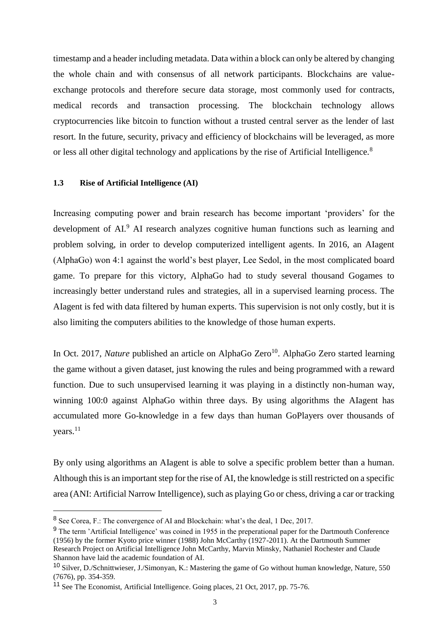timestamp and a header including metadata. Data within a block can only be altered by changing the whole chain and with consensus of all network participants. Blockchains are valueexchange protocols and therefore secure data storage, most commonly used for contracts, medical records and transaction processing. The blockchain technology allows cryptocurrencies like bitcoin to function without a trusted central server as the lender of last resort. In the future, security, privacy and efficiency of blockchains will be leveraged, as more or less all other digital technology and applications by the rise of Artificial Intelligence.<sup>8</sup>

#### **1.3 Rise of Artificial Intelligence (AI)**

Increasing computing power and brain research has become important 'providers' for the development of AI.<sup>9</sup> AI research analyzes cognitive human functions such as learning and problem solving, in order to develop computerized intelligent agents. In 2016, an AIagent (AlphaGo) won 4:1 against the world's best player, Lee Sedol, in the most complicated board game. To prepare for this victory, AlphaGo had to study several thousand Gogames to increasingly better understand rules and strategies, all in a supervised learning process. The AIagent is fed with data filtered by human experts. This supervision is not only costly, but it is also limiting the computers abilities to the knowledge of those human experts.

In Oct. 2017, *Nature* published an article on AlphaGo Zero<sup>10</sup>. AlphaGo Zero started learning the game without a given dataset, just knowing the rules and being programmed with a reward function. Due to such unsupervised learning it was playing in a distinctly non-human way, winning 100:0 against AlphaGo within three days. By using algorithms the AIagent has accumulated more Go-knowledge in a few days than human GoPlayers over thousands of years.<sup>11</sup>

By only using algorithms an AIagent is able to solve a specific problem better than a human. Although this is an important step for the rise of AI, the knowledge is still restricted on a specific area (ANI: Artificial Narrow Intelligence), such as playing Go or chess, driving a car or tracking

<sup>8</sup> See Corea, F.: The convergence of AI and Blockchain: what's the deal, 1 Dec, 2017.

<sup>&</sup>lt;sup>9</sup> The term 'Artificial Intelligence' was coined in 1955 in the preperational paper for the Dartmouth Conference (1956) by the former Kyoto price winner (1988) John McCarthy (1927-2011). At the Dartmouth Summer Research Project on Artificial Intelligence John McCarthy, Marvin Minsky, Nathaniel Rochester and Claude Shannon have laid the academic foundation of AI.

<sup>10</sup> Silver, D./Schnittwieser, J./Simonyan, K.: Mastering the game of Go without human knowledge, Nature, 550 (7676), pp. 354-359.

<sup>11</sup> See The Economist, Artificial Intelligence. Going places, 21 Oct, 2017, pp. 75-76.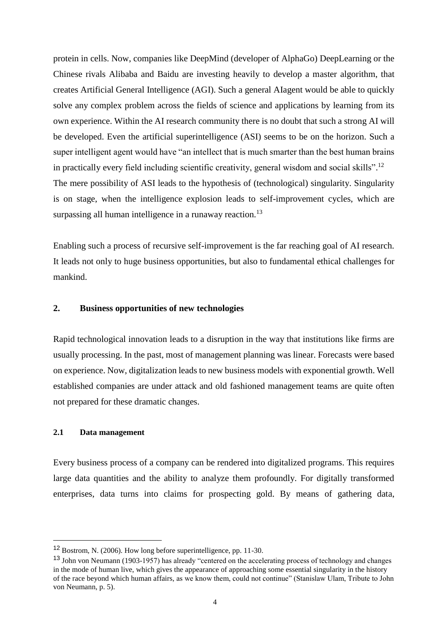protein in cells. Now, companies like DeepMind (developer of AlphaGo) DeepLearning or the Chinese rivals Alibaba and Baidu are investing heavily to develop a master algorithm, that creates Artificial General Intelligence (AGI). Such a general AIagent would be able to quickly solve any complex problem across the fields of science and applications by learning from its own experience. Within the AI research community there is no doubt that such a strong AI will be developed. Even the artificial superintelligence (ASI) seems to be on the horizon. Such a super intelligent agent would have "an intellect that is much smarter than the best human brains in practically every field including scientific creativity, general wisdom and social skills".<sup>12</sup> The mere possibility of ASI leads to the hypothesis of (technological) singularity. Singularity is on stage, when the intelligence explosion leads to self-improvement cycles, which are surpassing all human intelligence in a runaway reaction.<sup>13</sup>

Enabling such a process of recursive self-improvement is the far reaching goal of AI research. It leads not only to huge business opportunities, but also to fundamental ethical challenges for mankind.

# **2. Business opportunities of new technologies**

Rapid technological innovation leads to a disruption in the way that institutions like firms are usually processing. In the past, most of management planning was linear. Forecasts were based on experience. Now, digitalization leads to new business models with exponential growth. Well established companies are under attack and old fashioned management teams are quite often not prepared for these dramatic changes.

#### **2.1 Data management**

<u>.</u>

Every business process of a company can be rendered into digitalized programs. This requires large data quantities and the ability to analyze them profoundly. For digitally transformed enterprises, data turns into claims for prospecting gold. By means of gathering data,

<sup>12</sup> Bostrom, N. (2006). How long before superintelligence, pp. 11-30.

<sup>13</sup> John von Neumann (1903-1957) has already "centered on the accelerating process of technology and changes in the mode of human live, which gives the appearance of approaching some essential singularity in the history of the race beyond which human affairs, as we know them, could not continue" (Stanislaw Ulam, Tribute to John von Neumann, p. 5).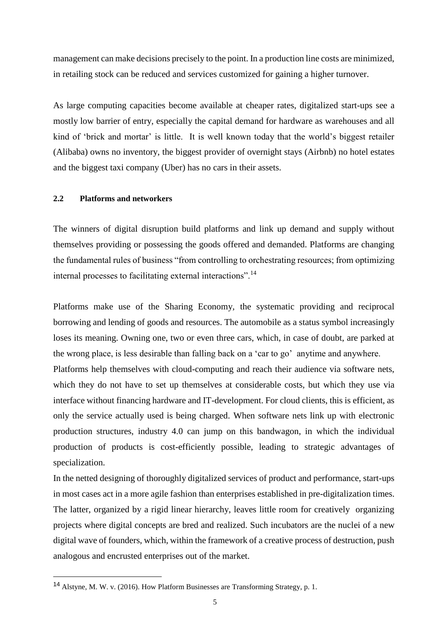management can make decisions precisely to the point. In a production line costs are minimized, in retailing stock can be reduced and services customized for gaining a higher turnover.

As large computing capacities become available at cheaper rates, digitalized start-ups see a mostly low barrier of entry, especially the capital demand for hardware as warehouses and all kind of 'brick and mortar' is little. It is well known today that the world's biggest retailer (Alibaba) owns no inventory, the biggest provider of overnight stays (Airbnb) no hotel estates and the biggest taxi company (Uber) has no cars in their assets.

#### **2.2 Platforms and networkers**

1

The winners of digital disruption build platforms and link up demand and supply without themselves providing or possessing the goods offered and demanded. Platforms are changing the fundamental rules of business "from controlling to orchestrating resources; from optimizing internal processes to facilitating external interactions".<sup>14</sup>

Platforms make use of the Sharing Economy, the systematic providing and reciprocal borrowing and lending of goods and resources. The automobile as a status symbol increasingly loses its meaning. Owning one, two or even three cars, which, in case of doubt, are parked at the wrong place, is less desirable than falling back on a 'car to go' anytime and anywhere. Platforms help themselves with cloud-computing and reach their audience via software nets, which they do not have to set up themselves at considerable costs, but which they use via interface without financing hardware and IT-development. For cloud clients, this is efficient, as only the service actually used is being charged. When software nets link up with electronic production structures, industry 4.0 can jump on this bandwagon, in which the individual production of products is cost-efficiently possible, leading to strategic advantages of specialization.

In the netted designing of thoroughly digitalized services of product and performance, start-ups in most cases act in a more agile fashion than enterprises established in pre-digitalization times. The latter, organized by a rigid linear hierarchy, leaves little room for creatively organizing projects where digital concepts are bred and realized. Such incubators are the nuclei of a new digital wave of founders, which, within the framework of a creative process of destruction, push analogous and encrusted enterprises out of the market.

<sup>14</sup> Alstyne, M. W. v. (2016). How Platform Businesses are Transforming Strategy, p. 1.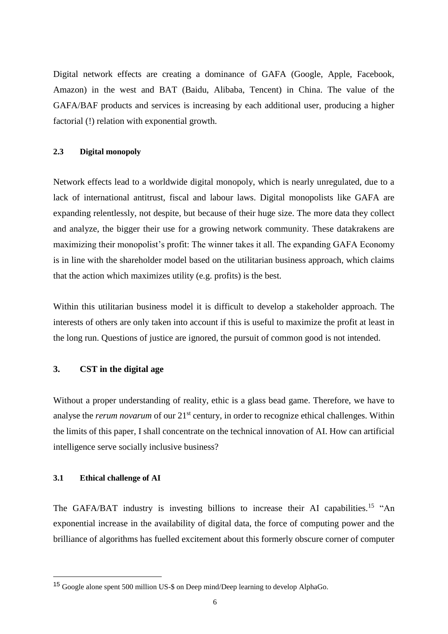Digital network effects are creating a dominance of GAFA (Google, Apple, Facebook, Amazon) in the west and BAT (Baidu, Alibaba, Tencent) in China. The value of the GAFA/BAF products and services is increasing by each additional user, producing a higher factorial (!) relation with exponential growth.

#### **2.3 Digital monopoly**

Network effects lead to a worldwide digital monopoly, which is nearly unregulated, due to a lack of international antitrust, fiscal and labour laws. Digital monopolists like GAFA are expanding relentlessly, not despite, but because of their huge size. The more data they collect and analyze, the bigger their use for a growing network community. These datakrakens are maximizing their monopolist's profit: The winner takes it all. The expanding GAFA Economy is in line with the shareholder model based on the utilitarian business approach, which claims that the action which maximizes utility (e.g. profits) is the best.

Within this utilitarian business model it is difficult to develop a stakeholder approach. The interests of others are only taken into account if this is useful to maximize the profit at least in the long run. Questions of justice are ignored, the pursuit of common good is not intended.

# **3. CST in the digital age**

Without a proper understanding of reality, ethic is a glass bead game. Therefore, we have to analyse the *rerum novarum* of our 21<sup>st</sup> century, in order to recognize ethical challenges. Within the limits of this paper, I shall concentrate on the technical innovation of AI. How can artificial intelligence serve socially inclusive business?

#### **3.1 Ethical challenge of AI**

1

The GAFA/BAT industry is investing billions to increase their AI capabilities.<sup>15</sup> "An exponential increase in the availability of digital data, the force of computing power and the brilliance of algorithms has fuelled excitement about this formerly obscure corner of computer

<sup>15</sup> Google alone spent 500 million US-\$ on Deep mind/Deep learning to develop AlphaGo.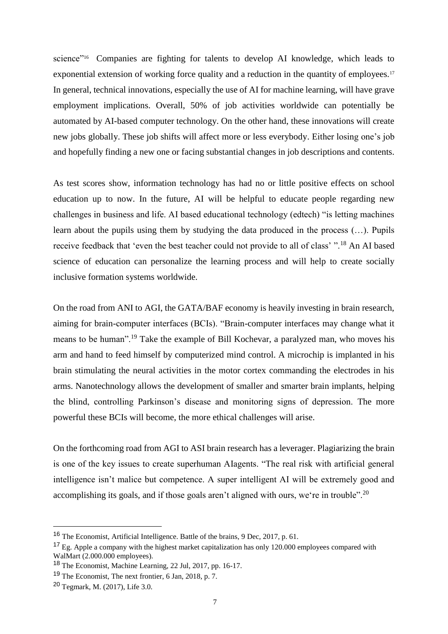science"<sup>16</sup> Companies are fighting for talents to develop AI knowledge, which leads to exponential extension of working force quality and a reduction in the quantity of employees.<sup>17</sup> In general, technical innovations, especially the use of AI for machine learning, will have grave employment implications. Overall, 50% of job activities worldwide can potentially be automated by AI-based computer technology. On the other hand, these innovations will create new jobs globally. These job shifts will affect more or less everybody. Either losing one's job and hopefully finding a new one or facing substantial changes in job descriptions and contents.

As test scores show, information technology has had no or little positive effects on school education up to now. In the future, AI will be helpful to educate people regarding new challenges in business and life. AI based educational technology (edtech) "is letting machines learn about the pupils using them by studying the data produced in the process (…). Pupils receive feedback that 'even the best teacher could not provide to all of class' ".<sup>18</sup> An AI based science of education can personalize the learning process and will help to create socially inclusive formation systems worldwide.

On the road from ANI to AGI, the GATA/BAF economy is heavily investing in brain research, aiming for brain-computer interfaces (BCIs). "Brain-computer interfaces may change what it means to be human".<sup>19</sup> Take the example of Bill Kochevar, a paralyzed man, who moves his arm and hand to feed himself by computerized mind control. A microchip is implanted in his brain stimulating the neural activities in the motor cortex commanding the electrodes in his arms. Nanotechnology allows the development of smaller and smarter brain implants, helping the blind, controlling Parkinson's disease and monitoring signs of depression. The more powerful these BCIs will become, the more ethical challenges will arise.

On the forthcoming road from AGI to ASI brain research has a leverager. Plagiarizing the brain is one of the key issues to create superhuman AIagents. "The real risk with artificial general intelligence isn't malice but competence. A super intelligent AI will be extremely good and accomplishing its goals, and if those goals aren't aligned with ours, we're in trouble".<sup>20</sup>

<u>.</u>

<sup>16</sup> The Economist, Artificial Intelligence. Battle of the brains, 9 Dec, 2017, p. 61.

<sup>17</sup> Eg. Apple a company with the highest market capitalization has only 120.000 employees compared with WalMart (2.000.000 employees).

<sup>18</sup> The Economist, Machine Learning, 22 Jul, 2017, pp. 16-17.

<sup>19</sup> The Economist, The next frontier, 6 Jan, 2018, p. 7.

<sup>20</sup> Tegmark, M. (2017), Life 3.0.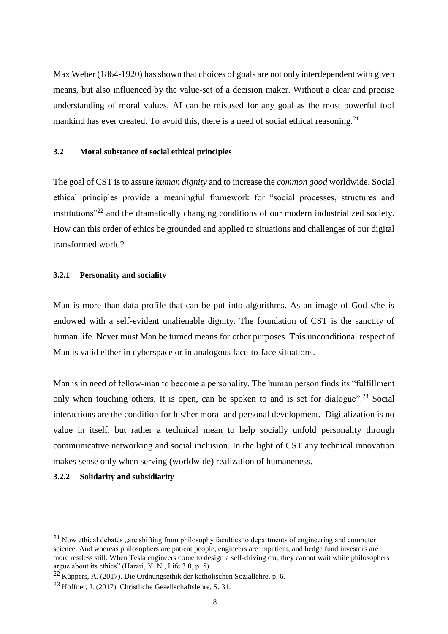Max Weber (1864-1920) has shown that choices of goals are not only interdependent with given means, but also influenced by the value-set of a decision maker. Without a clear and precise understanding of moral values, AI can be misused for any goal as the most powerful tool mankind has ever created. To avoid this, there is a need of social ethical reasoning.<sup>21</sup>

#### **3.2 Moral substance of social ethical principles**

The goal of CST is to assure *human dignity* and to increase the *common good* worldwide. Social ethical principles provide a meaningful framework for "social processes, structures and institutions"<sup>22</sup> and the dramatically changing conditions of our modern industrialized society. How can this order of ethics be grounded and applied to situations and challenges of our digital transformed world?

#### **3.2.1 Personality and sociality**

Man is more than data profile that can be put into algorithms. As an image of God s/he is endowed with a self-evident unalienable dignity. The foundation of CST is the sanctity of human life. Never must Man be turned means for other purposes. This unconditional respect of Man is valid either in cyberspace or in analogous face-to-face situations.

Man is in need of fellow-man to become a personality. The human person finds its "fulfillment only when touching others. It is open, can be spoken to and is set for dialogue".<sup>23</sup> Social interactions are the condition for his/her moral and personal development. Digitalization is no value in itself, but rather a technical mean to help socially unfold personality through communicative networking and social inclusion. In the light of CST any technical innovation makes sense only when serving (worldwide) realization of humaneness.

### **3.2.2 Solidarity and subsidiarity**

<sup>&</sup>lt;sup>21</sup> Now ethical debates are shifting from philosophy faculties to departments of engineering and computer science. And whereas philosophers are patient people, engineers are impatient, and hedge fund investors are more restless still. When Tesla engineers come to design a self-driving car, they cannot wait while philosophers argue about its ethics" (Harari, Y. N., Life 3.0, p. 5).

<sup>22</sup> Küppers, A. (2017). Die Ordnungsethik der katholischen Soziallehre, p. 6.

<sup>23</sup> Höffner, J. (2017). Christliche Gesellschaftslehre, S. 31.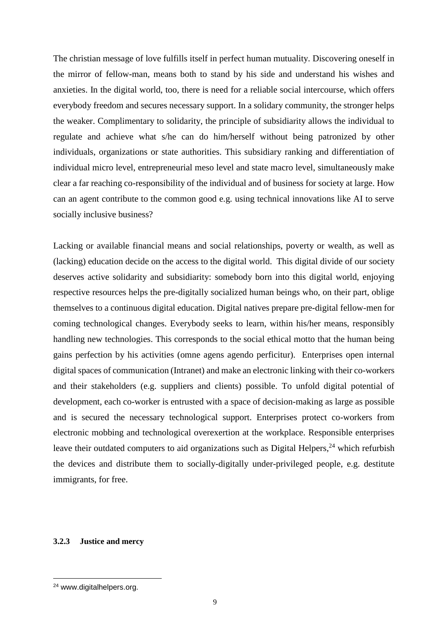The christian message of love fulfills itself in perfect human mutuality. Discovering oneself in the mirror of fellow-man, means both to stand by his side and understand his wishes and anxieties. In the digital world, too, there is need for a reliable social intercourse, which offers everybody freedom and secures necessary support. In a solidary community, the stronger helps the weaker. Complimentary to solidarity, the principle of subsidiarity allows the individual to regulate and achieve what s/he can do him/herself without being patronized by other individuals, organizations or state authorities. This subsidiary ranking and differentiation of individual micro level, entrepreneurial meso level and state macro level, simultaneously make clear a far reaching co-responsibility of the individual and of business for society at large. How can an agent contribute to the common good e.g. using technical innovations like AI to serve socially inclusive business?

Lacking or available financial means and social relationships, poverty or wealth, as well as (lacking) education decide on the access to the digital world. This digital divide of our society deserves active solidarity and subsidiarity: somebody born into this digital world, enjoying respective resources helps the pre-digitally socialized human beings who, on their part, oblige themselves to a continuous digital education. Digital natives prepare pre-digital fellow-men for coming technological changes. Everybody seeks to learn, within his/her means, responsibly handling new technologies. This corresponds to the social ethical motto that the human being gains perfection by his activities (omne agens agendo perficitur). Enterprises open internal digital spaces of communication (Intranet) and make an electronic linking with their co-workers and their stakeholders (e.g. suppliers and clients) possible. To unfold digital potential of development, each co-worker is entrusted with a space of decision-making as large as possible and is secured the necessary technological support. Enterprises protect co-workers from electronic mobbing and technological overexertion at the workplace. Responsible enterprises leave their outdated computers to aid organizations such as Digital Helpers,<sup>24</sup> which refurbish the devices and distribute them to socially-digitally under-privileged people, e.g. destitute immigrants, for free.

#### **3.2.3 Justice and mercy**

<sup>24</sup> www.digitalhelpers.org.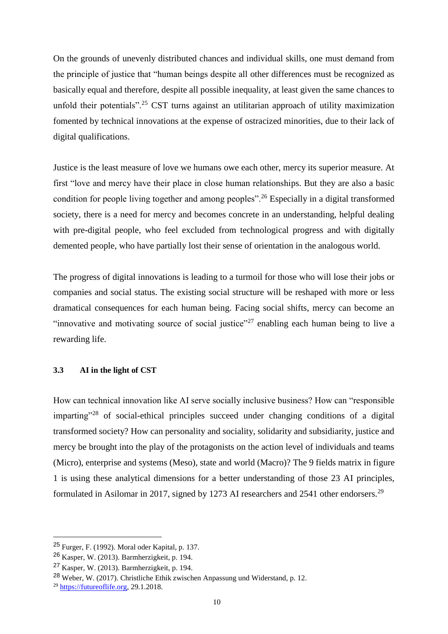On the grounds of unevenly distributed chances and individual skills, one must demand from the principle of justice that "human beings despite all other differences must be recognized as basically equal and therefore, despite all possible inequality, at least given the same chances to unfold their potentials".<sup>25</sup> CST turns against an utilitarian approach of utility maximization fomented by technical innovations at the expense of ostracized minorities, due to their lack of digital qualifications.

Justice is the least measure of love we humans owe each other, mercy its superior measure. At first "love and mercy have their place in close human relationships. But they are also a basic condition for people living together and among peoples".<sup>26</sup> Especially in a digital transformed society, there is a need for mercy and becomes concrete in an understanding, helpful dealing with pre-digital people, who feel excluded from technological progress and with digitally demented people, who have partially lost their sense of orientation in the analogous world.

The progress of digital innovations is leading to a turmoil for those who will lose their jobs or companies and social status. The existing social structure will be reshaped with more or less dramatical consequences for each human being. Facing social shifts, mercy can become an "innovative and motivating source of social justice"<sup>27</sup> enabling each human being to live a rewarding life.

# **3.3 AI in the light of CST**

How can technical innovation like AI serve socially inclusive business? How can "responsible imparting<sup>"28</sup> of social-ethical principles succeed under changing conditions of a digital transformed society? How can personality and sociality, solidarity and subsidiarity, justice and mercy be brought into the play of the protagonists on the action level of individuals and teams (Micro), enterprise and systems (Meso), state and world (Macro)? The 9 fields matrix in figure 1 is using these analytical dimensions for a better understanding of those 23 AI principles, formulated in Asilomar in 2017, signed by 1273 AI researchers and 2541 other endorsers.<sup>29</sup>

<sup>25</sup> Furger, F. (1992). Moral oder Kapital, p. 137.

<sup>26</sup> Kasper, W. (2013). Barmherzigkeit, p. 194.

<sup>27</sup> Kasper, W. (2013). Barmherzigkeit, p. 194.

<sup>28</sup> Weber, W. (2017). Christliche Ethik zwischen Anpassung und Widerstand, p. 12.

<sup>29</sup> [https://futureoflife.org,](https://futureoflife.org/) 29.1.2018.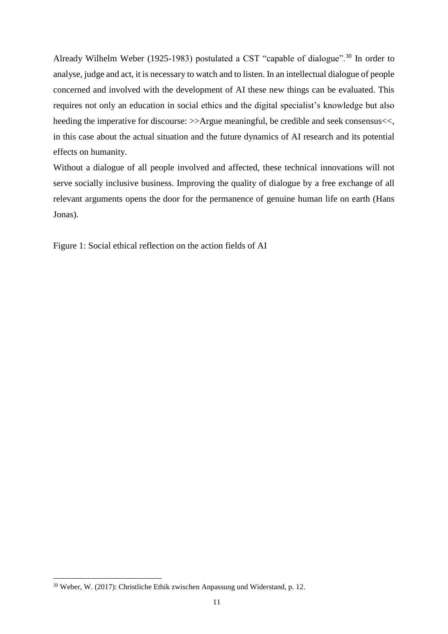Already Wilhelm Weber (1925-1983) postulated a CST "capable of dialogue".<sup>30</sup> In order to analyse, judge and act, it is necessary to watch and to listen. In an intellectual dialogue of people concerned and involved with the development of AI these new things can be evaluated. This requires not only an education in social ethics and the digital specialist's knowledge but also heeding the imperative for discourse:  $\gg$ Argue meaningful, be credible and seek consensus <<, in this case about the actual situation and the future dynamics of AI research and its potential effects on humanity.

Without a dialogue of all people involved and affected, these technical innovations will not serve socially inclusive business. Improving the quality of dialogue by a free exchange of all relevant arguments opens the door for the permanence of genuine human life on earth (Hans Jonas).

Figure 1: Social ethical reflection on the action fields of AI

<sup>30</sup> Weber, W. (2017): Christliche Ethik zwischen Anpassung und Widerstand, p. 12.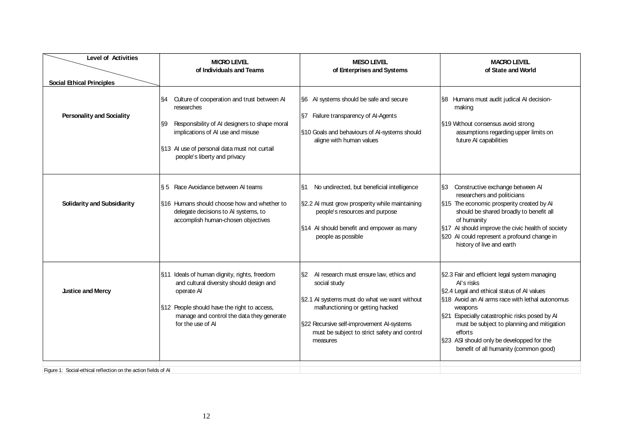| <b>Level of Activities</b><br><b>Social Ethical Principles</b> | <b>MICRO LEVEL</b><br>of Individuals and Teams                                                                                                                                                                                                            | <b>MESO LEVEL</b><br>of Enterprises and Systems                                                                                                                                                                                                            | <b>MACRO LEVEL</b><br>of State and World                                                                                                                                                                                                                                                                                                                                |
|----------------------------------------------------------------|-----------------------------------------------------------------------------------------------------------------------------------------------------------------------------------------------------------------------------------------------------------|------------------------------------------------------------------------------------------------------------------------------------------------------------------------------------------------------------------------------------------------------------|-------------------------------------------------------------------------------------------------------------------------------------------------------------------------------------------------------------------------------------------------------------------------------------------------------------------------------------------------------------------------|
| <b>Personality and Sociality</b>                               | Culture of cooperation and trust between AI<br>§4<br>researches<br>Responsibility of AI designers to shape moral<br>I <sub>S</sub> 9<br>implications of AI use and misuse<br>§13 AI use of personal data must not curtail<br>people's liberty and privacy | §6 AI systems should be safe and secure<br>Failure transparency of Al-Agents<br>I§7<br>§10 Goals and behaviours of AI-systems should<br>aligne with human values                                                                                           | §8 Humans must audit judical AI decision-<br>making<br>§19 Without consensus avoid strong<br>assumptions regarding upper limits on<br>future AI capabilities                                                                                                                                                                                                            |
| <b>Solidarity and Subsidiarity</b>                             | S 5 Race Avoidance between AI teams<br>IS16 Humans should choose how and whether to<br>delegate decisions to AI systems, to<br>accomplish human-chosen objectives                                                                                         | No undirected, but beneficial intelligence<br>I§1<br>§2.2 Al must grow prosperity while maintaining<br>people's resources and purpose<br>§14 Al should benefit and empower as many<br>people as possible                                                   | Constructive exchange between AI<br>§3<br>researchers and politicians<br>§15 The economic prosperity created by AI<br>should be shared broadly to benefit all<br>of humanity<br>§17 Al should improve the civic health of society<br>§20 Al could represent a profound change in<br>history of live and earth                                                           |
| <b>Justice and Mercy</b>                                       | §11 Ideals of human dignity, rights, freedom<br>and cultural diversity should design and<br>operate AI<br>§12 People should have the right to access,<br>manage and control the data they generate<br>for the use of AI                                   | AI research must ensure law, ethics and<br>§2<br>social study<br>§2.1 Al systems must do what we want without<br>malfunctioning or getting hacked<br>§22 Recursive self-improvement AI-systems<br>must be subject to strict safety and control<br>measures | §2.3 Fair and efficient legal system managing<br>Al's risks<br>§2.4 Legal and ethical status of AI values<br>§18 Avoid an AI arms race with lethal autonomus<br>weapons<br>§21 Especially catastrophic risks posed by Al<br>must be subject to planning and mitigation<br>efforts<br>§23 ASI should only be developped for the<br>benefit of all humanity (common good) |
| Figure 1: Social-ethical reflection on the action fields of A  |                                                                                                                                                                                                                                                           |                                                                                                                                                                                                                                                            |                                                                                                                                                                                                                                                                                                                                                                         |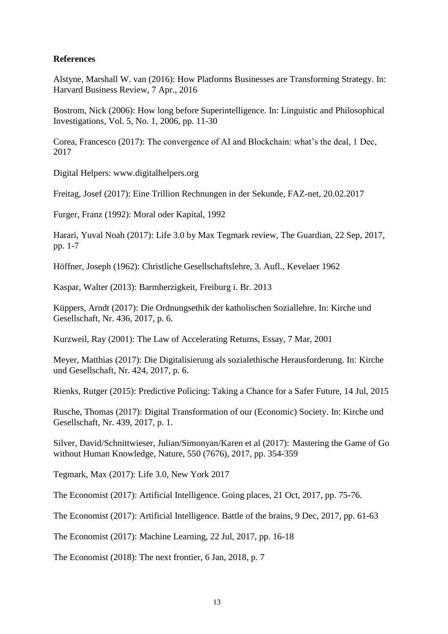# **References**

Alstyne, Marshall W. van (2016): How Platforms Businesses are Transforming Strategy. In: Harvard Business Review, 7 Apr., 2016

Bostrom, Nick (2006): How long before Superintelligence. In: Linguistic and Philosophical Investigations, Vol. 5, No. 1, 2006, pp. 11-30

Corea, Francesco (2017): The convergence of AI and Blockchain: what's the deal, 1 Dec, 2017

Digital Helpers: www.digitalhelpers.org

Freitag, Josef (2017): Eine Trillion Rechnungen in der Sekunde, FAZ-net, 20.02.2017

Furger, Franz (1992): Moral oder Kapital, 1992

Harari, Yuval Noah (2017): Life 3.0 by Max Tegmark review, The Guardian, 22 Sep, 2017, pp. 1-7

Höffner, Joseph (1962): Christliche Gesellschaftslehre, 3. Aufl., Kevelaer 1962

Kaspar, Walter (2013): Barmherzigkeit, Freiburg i. Br. 2013

Küppers, Arndt (2017): Die Ordnungsethik der katholischen Soziallehre. In: Kirche und Gesellschaft, Nr. 436, 2017, p. 6.

Kurzweil, Ray (2001): The Law of Accelerating Returns, Essay, 7 Mar, 2001

Meyer, Matthias (2017): Die Digitalisierung als sozialethische Herausforderung. In: Kirche und Gesellschaft, Nr. 424, 2017, p. 6.

Rienks, Rutger (2015): Predictive Policing: Taking a Chance for a Safer Future, 14 Jul, 2015

Rusche, Thomas (2017): Digital Transformation of our (Economic) Society. In: Kirche und Gesellschaft, Nr. 439, 2017, p. 1.

Silver, David/Schnittwieser, Julian/Simonyan/Karen et al (2017): Mastering the Game of Go without Human Knowledge, Nature, 550 (7676), 2017, pp. 354-359

Tegmark, Max (2017): Life 3.0, New York 2017

The Economist (2017): Artificial Intelligence. Going places, 21 Oct, 2017, pp. 75-76.

The Economist (2017): Artificial Intelligence. Battle of the brains, 9 Dec, 2017, pp. 61-63

The Economist (2017): Machine Learning, 22 Jul, 2017, pp. 16-18

The Economist (2018): The next frontier, 6 Jan, 2018, p. 7